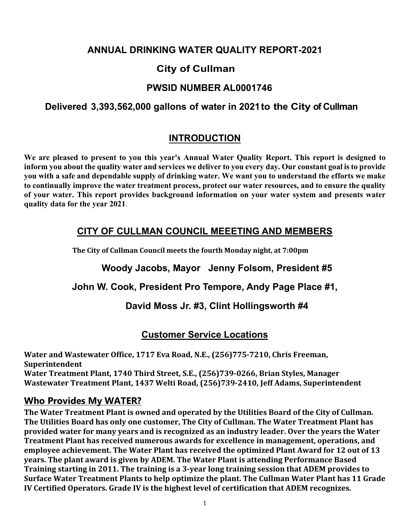### **ANNUAL DRINKING WATER QUALITY REPORT-2021**

# **City of Cullman**

### **PWSID NUMBER AL0001746**

### **Delivered 3,393,562,000 gallons of water in 2021to the City of Cullman**

# **INTRODUCTION**

**We are pleased to present to you this year's Annual Water Quality Report. This report is designed to inform you about the quality water and services we deliver to you every day. Our constant goal is to provide you with a safe and dependable supply of drinking water. We want you to understand the efforts we make to continually improve the water treatment process, protect our water resources, and to ensure the quality of your water. This report provides background information on your water system and presents water quality data for the year 2021**.

# **CITY OF CULLMAN COUNCIL MEEETING AND MEMBERS**

**The City of Cullman Council meets the fourth Monday night, at 7:00pm**

**Woody Jacobs, Mayor Jenny Folsom, President #5**

#### **John W. Cook, President Pro Tempore, Andy Page Place #1,**

#### **David Moss Jr. #3, Clint Hollingsworth #4**

#### **Customer Service Locations**

**Water and Wastewater Office, 1717 Eva Road, N.E., (256)775-7210, Chris Freeman, Superintendent Water Treatment Plant, 1740 Third Street, S.E., (256)739-0266, Brian Styles, Manager Wastewater Treatment Plant, 1437 Welti Road, (256)739-2410, Jeff Adams, Superintendent**

#### **Who Provides My WATER?**

**The Water Treatment Plant is owned and operated by the Utilities Board of the City of Cullman. The Utilities Board has only one customer, The City of Cullman. The Water Treatment Plant has provided water for many years and is recognized as an industry leader. Over the years the Water Treatment Plant has received numerous awards for excellence in management, operations, and employee achievement. The Water Plant has received the optimized Plant Award for 12 out of 13 years. The plant award is given by ADEM. The Water Plant is attending Performance Based Training starting in 2011. The training is a 3-year long training session that ADEM provides to Surface Water Treatment Plants to help optimize the plant. The Cullman Water Plant has 11 Grade IV Certified Operators. Grade IV is the highest level of certification that ADEM recognizes.**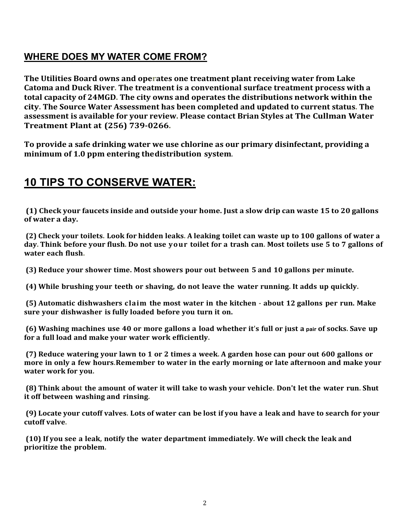# **WHERE DOES MY WATER COME FROM?**

**The Utilities Board owns and operates one treatment plant receiving water from Lake Catoma and Duck River. The treatment is a conventional surface treatment process with a total capacity of 24MGD. The city owns and operates the distributions network within the city. The Source Water Assessment has been completed and updated to current status. The assessment is available for your review. Please contact Brian Styles at The Cullman Water Treatment Plant at (256) 739-0266.**

**To provide a safe drinking water we use chlorine as our primary disinfectant, providing a minimum of 1.0 ppm entering the distribution system**.

# **10 TIPS TO CONSERVE WATER:**

**(1) Check your faucets inside and outside your home. Just a slow drip can waste 15 to 20 gallons of water a day.**

 **(2) Check your toilets. Look for hidden leaks. A leaking toilet can waste up to 100 gallons of water a day. Think before your flush. Do not use your toilet for a trash can. Most toilets use 5 to 7 gallons of water each flush.**

**(3) Reduce your shower time. Most showers pour out between 5 and 10 gallons per minute.**

 **(4) While brushing your teeth or shaving, do not leave the water running. It adds up quickly.**

 **(5) Automatic dishwashers claim the most water in the kitchen - about 12 gallons per run. Make sure your dishwasher is fully loaded before you turn it on.**

 **(6) Washing machines use 40 or more gallons a load whether it's full or just a pair of socks. Save up for a full load and make your water work efficiently.**

 **(7) Reduce watering your lawn to 1 or 2 times a week. A garden hose can pour out 600 gallons or more in only a few hours. Remember to water in the early morning or late afternoon and make your water work for you.**

 **(8) Think about the amount of water it will take to wash your vehicle. Don't let the water run. Shut it off between washing and rinsing.**

 **(9) Locate your cutoff valves. Lots of water can be lost if you have a leak and have to search for your cutoff valve.**

 **(10) If you see a leak, notify the water department immediately. We will check the leak and prioritize the problem.**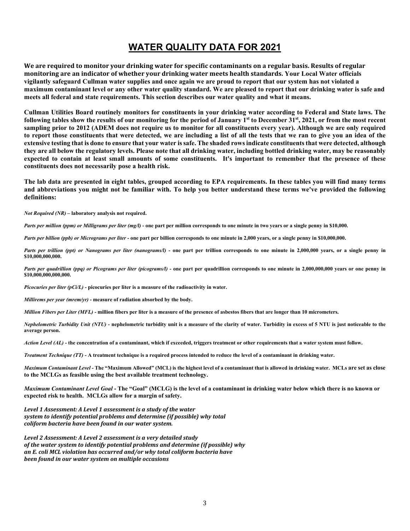### **WATER QUALITY DATA FOR 2021**

**We are required to monitor your drinking water for specific contaminants on a regular basis. Results of regular monitoring are an indicator of whether your drinking water meets health standards. Your Local Water officials vigilantly safeguard Cullman water supplies and once again we are proud to report that our system has not violated a maximum contaminant level or any other water quality standard. We are pleased to report that our drinking water is safe and meets all federal and state requirements. This section describes our water quality and what it means.**

**Cullman Utilities Board routinely monitors for constituents in your drinking water according to Federal and State laws. The following tables show the results of our monitoring for the period of January 1st to December 31st, 2021, or from the most recent sampling prior to 2012 (ADEM does not require us to monitor for all constituents every year). Although we are only required to report those constituents that were detected, we are including a list of all the tests that we ran to give you an idea of the extensive testing that is done to ensure that your water is safe. The shaded rows indicate constituents that were detected, although they are all below the regulatory levels. Please note that all drinking water, including bottled drinking water, may be reasonably expected to contain at least small amounts of some constituents. It's important to remember that the presence of these constituents does not necessarily pose a health risk.** 

**The lab data are presented in eight tables, grouped according to EPA requirements. In these tables you will find many terms and abbreviations you might not be familiar with. To help you better understand these terms we've provided the following definitions:**

*Not Required (NR)* **– laboratory analysis not required.**

*Parts per million (ppm) or Milligrams per liter (mg/l)* **- one part per million corresponds to one minute in two years or a single penny in \$10,000.**

*Parts per billion (ppb) or Micrograms per liter* **- one part per billion corresponds to one minute in 2,000 years, or a single penny in \$10,000,000.** 

*Parts per trillion (ppt) or Nanograms per liter (nanograms/l)* - one part per trillion corresponds to one minute in 2,000,000 years, or a single penny in **\$10,000,000,000.**

*Parts per quadrillion (ppq) or Picograms per liter (picograms/l)* **- one part per quadrillion corresponds to one minute in 2,000,000,000 years or one penny in \$10,000,000,000,000.**

*Picocuries per liter (pCi/L)* **- picocuries per liter is a measure of the radioactivity in water.**

*Millirems per year (mrem/yr)* **- measure of radiation absorbed by the body.**

*Million Fibers per Liter (MFL)* **- million fibers per liter is a measure of the presence of asbestos fibers that are longer than 10 micrometers.** 

*Nephelometric Turbidity Unit (NTU)* **- nephelometric turbidity unit is a measure of the clarity of water. Turbidity in excess of 5 NTU is just noticeable to the average person.**

*Action Level (AL)* **- the concentration of a contaminant, which if exceeded, triggers treatment or other requirements that a water system must follow.**

*Treatment Technique (TT)* **- A treatment technique is a required process intended to reduce the level of a contaminant in drinking water.**

*Maximum Contaminant Level* **- The "Maximum Allowed" (MCL) is the highest level of a contaminant that is allowed in drinking water. MCLs are set as close to the MCLGs as feasible using the best available treatment technology.**

*Maximum Contaminant Level Goal* **- The "Goal" (MCLG) is the level of a contaminant in drinking water below which there is no known or expected risk to health. MCLGs allow for a margin of safety.**

*Level 1 Assessment: A Level 1 assessment is a study of the water system to identify potential problems and determine (if possible) why total coliform bacteria have been found in our water system.*

*Level 2 Assessment: A Level 2 assessment is a very detailed study of the water system to identify potential problems and determine (if possible) why an E. coli MCL violation has occurred and/or why total coliform bacteria have been found in our water system on multiple occasions*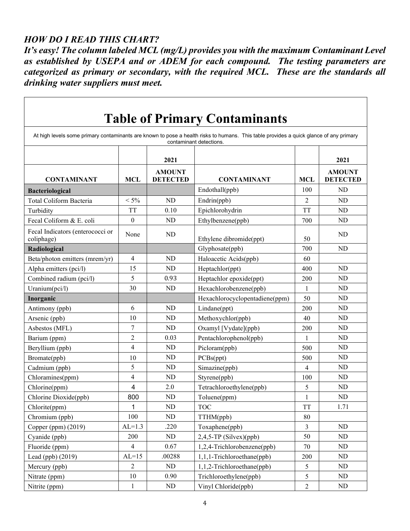#### *HOW DO I READ THIS CHART?*

 $\mathsf{r}$ 

*It's easy! The column labeled MCL (mg/L) provides you with the maximum Contaminant Level as established by USEPA and or ADEM for each compound. The testing parameters are categorized as primary or secondary, with the required MCL. These are the standards all drinking water suppliers must meet.*

| <b>Table of Primary Contaminants</b>                                                                                                                              |                         |                                  |                                |                |                                  |  |  |  |
|-------------------------------------------------------------------------------------------------------------------------------------------------------------------|-------------------------|----------------------------------|--------------------------------|----------------|----------------------------------|--|--|--|
| At high levels some primary contaminants are known to pose a health risks to humans. This table provides a quick glance of any primary<br>contaminant detections. |                         |                                  |                                |                |                                  |  |  |  |
|                                                                                                                                                                   | 2021                    |                                  |                                |                |                                  |  |  |  |
| <b>CONTAMINANT</b>                                                                                                                                                | <b>MCL</b>              | <b>AMOUNT</b><br><b>DETECTED</b> | <b>CONTAMINANT</b>             | <b>MCL</b>     | <b>AMOUNT</b><br><b>DETECTED</b> |  |  |  |
| <b>Bacteriological</b>                                                                                                                                            |                         |                                  | Endothall(ppb)                 | 100            | ND                               |  |  |  |
| Total Coliform Bacteria                                                                                                                                           | $< 5\%$                 | <b>ND</b>                        | Endrin(ppb)                    | $\overline{2}$ | ND                               |  |  |  |
| Turbidity                                                                                                                                                         | <b>TT</b>               | 0.10                             | Epichlorohydrin                | <b>TT</b>      | N <sub>D</sub>                   |  |  |  |
| Fecal Coliform & E. coli                                                                                                                                          | $\theta$                | ND                               | Ethylbenzene(ppb)              | 700            | ND                               |  |  |  |
| Fecal Indicators (enterococci or<br>coliphage)                                                                                                                    | None                    | <b>ND</b>                        | Ethylene dibromide(ppt)        | 50             | <b>ND</b>                        |  |  |  |
| Radiological                                                                                                                                                      |                         |                                  | Glyphosate(ppb)                | 700            | <b>ND</b>                        |  |  |  |
| Beta/photon emitters (mrem/yr)                                                                                                                                    | 4                       | ND                               | Haloacetic Acids(ppb)          | 60             |                                  |  |  |  |
| Alpha emitters (pci/l)                                                                                                                                            | 15                      | ND                               | Heptachlor(ppt)                | 400            | <b>ND</b>                        |  |  |  |
| Combined radium (pci/l)                                                                                                                                           | 5                       | 0.93                             | Heptachlor epoxide(ppt)        | 200            | ND                               |  |  |  |
| Uranium(pci/l)                                                                                                                                                    | 30                      | <b>ND</b>                        | Hexachlorobenzene(ppb)         | 1              | <b>ND</b>                        |  |  |  |
| Inorganic                                                                                                                                                         |                         |                                  | Hexachlorocyclopentadiene(ppm) | 50             | <b>ND</b>                        |  |  |  |
| Antimony (ppb)                                                                                                                                                    | 6                       | ND                               | Lindane(ppt)                   | 200            | <b>ND</b>                        |  |  |  |
| Arsenic (ppb)                                                                                                                                                     | 10                      | <b>ND</b>                        | Methoxychlor(ppb)              | 40             | <b>ND</b>                        |  |  |  |
| Asbestos (MFL)                                                                                                                                                    | 7                       | ND                               | Oxamyl [Vydate](ppb)           | 200            | ND                               |  |  |  |
| Barium (ppm)                                                                                                                                                      | 2                       | 0.03                             | Pentachlorophenol(ppb)         | 1              | <b>ND</b>                        |  |  |  |
| Beryllium (ppb)                                                                                                                                                   | 4                       | ND                               | Picloram(ppb)                  | 500            | ND                               |  |  |  |
| Bromate(ppb)                                                                                                                                                      | 10                      | ND                               | PCBs(ppt)                      | 500            | ND                               |  |  |  |
| Cadmium (ppb)                                                                                                                                                     | 5                       | ND                               | Simazine(ppb)                  | $\overline{4}$ | <b>ND</b>                        |  |  |  |
| Chloramines(ppm)                                                                                                                                                  | 4                       | <b>ND</b>                        | Styrene(ppb)                   | 100            | ND                               |  |  |  |
| Chlorine(ppm)                                                                                                                                                     | $\overline{\mathbf{4}}$ | 2.0                              | Tetrachloroethylene(ppb)       | 5              | ND                               |  |  |  |
| Chlorine Dioxide(ppb)                                                                                                                                             | 800                     | <b>ND</b>                        | Toluene(ppm)                   | $\mathbf{1}$   | <b>ND</b>                        |  |  |  |
| Chlorite(ppm)                                                                                                                                                     | 1                       | ND                               | <b>TOC</b>                     | <b>TT</b>      | 1.71                             |  |  |  |
| Chromium (ppb)                                                                                                                                                    | 100                     | ND                               | TTHM(ppb)                      | 80             |                                  |  |  |  |
| Copper (ppm) (2019)                                                                                                                                               | $AL=1.3$                | .220                             | Toxaphene(ppb)                 | $\mathfrak{Z}$ | ND                               |  |  |  |
| Cyanide (ppb)                                                                                                                                                     | 200                     | ND                               | $2,4,5$ -TP (Silvex)(ppb)      | 50             | ND                               |  |  |  |
| Fluoride (ppm)                                                                                                                                                    | 4                       | 0.67                             | 1,2,4-Trichlorobenzene(ppb)    | 70             | ND                               |  |  |  |
| Lead (ppb) (2019)                                                                                                                                                 | $AL=15$                 | .00288                           | 1,1,1-Trichloroethane(ppb)     | 200            | ND                               |  |  |  |
| Mercury (ppb)                                                                                                                                                     | $\overline{2}$          | ${\rm ND}$                       | 1,1,2-Trichloroethane(ppb)     | 5              | ND                               |  |  |  |
| Nitrate (ppm)                                                                                                                                                     | $10\,$                  | 0.90                             | Trichloroethylene(ppb)         | $\mathfrak s$  | ND                               |  |  |  |
| Nitrite (ppm)                                                                                                                                                     | $\mathbf{1}$            | ${\rm ND}$                       | Vinyl Chloride(ppb)            | $\overline{2}$ | $\rm ND$                         |  |  |  |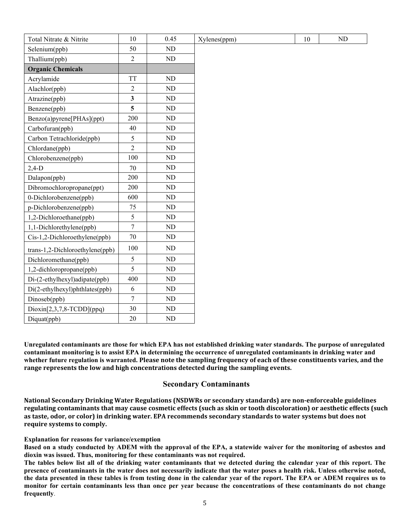| Total Nitrate & Nitrite         | 10                      | 0.45       | Xylenes(ppm) | 10 | <b>ND</b> |
|---------------------------------|-------------------------|------------|--------------|----|-----------|
| Selenium(ppb)                   | 50                      | $\rm ND$   |              |    |           |
| Thallium(ppb)                   | $\overline{2}$          | ${\rm ND}$ |              |    |           |
| <b>Organic Chemicals</b>        |                         |            |              |    |           |
| Acrylamide                      | <b>TT</b>               | ${\rm ND}$ |              |    |           |
| Alachlor(ppb)                   | $\overline{2}$          | ${\rm ND}$ |              |    |           |
| Atrazine(ppb)                   | $\overline{\mathbf{3}}$ | ND         |              |    |           |
| Benzene(ppb)                    | 5                       | ${\rm ND}$ |              |    |           |
| Benzo(a)pyrene[PHAs](ppt)       | 200                     | $\rm ND$   |              |    |           |
| Carbofuran(ppb)                 | 40                      | ${\rm ND}$ |              |    |           |
| Carbon Tetrachloride(ppb)       | 5                       | ${\rm ND}$ |              |    |           |
| Chlordane(ppb)                  | $\overline{2}$          | ND         |              |    |           |
| Chlorobenzene(ppb)              | 100                     | $\rm ND$   |              |    |           |
| $2,4-D$                         | 70                      | ND         |              |    |           |
| Dalapon(ppb)                    | 200                     | $\rm ND$   |              |    |           |
| Dibromochloropropane(ppt)       | 200                     | $\rm ND$   |              |    |           |
| 0-Dichlorobenzene(ppb)          | 600                     | $\rm ND$   |              |    |           |
| p-Dichlorobenzene(ppb)          | 75                      | ND         |              |    |           |
| 1,2-Dichloroethane(ppb)         | 5                       | $\rm ND$   |              |    |           |
| 1,1-Dichlorethylene(ppb)        | $\overline{7}$          | $\rm ND$   |              |    |           |
| Cis-1,2-Dichloroethylene(ppb)   | 70                      | ND         |              |    |           |
| trans-1,2-Dichloroethylene(ppb) | 100                     | $\rm ND$   |              |    |           |
| Dichloromethane(ppb)            | 5                       | ND         |              |    |           |
| 1,2-dichloropropane(ppb)        | 5                       | ND         |              |    |           |
| Di-(2-ethylhexyl)adipate(ppb)   | 400                     | $\rm ND$   |              |    |           |
| Di(2-ethylhexyl)phthlates(ppb)  | 6                       | $\rm ND$   |              |    |           |
| Dinoseb(ppb)                    | $\overline{7}$          | ND         |              |    |           |
| $Dioxin[2,3,7,8-TCDD](ppq)$     | 30                      | ND         |              |    |           |
| Diquat(ppb)                     | 20                      | ND         |              |    |           |

**Unregulated contaminants are those for which EPA has not established drinking water standards. The purpose of unregulated contaminant monitoring is to assist EPA in determining the occurrence of unregulated contaminants in drinking water and whether future regulation is warranted. Please note the sampling frequency of each of these constituents varies, and the range represents the low and high concentrations detected during the sampling events.**

#### **Secondary Contaminants**

**National Secondary Drinking Water Regulations (NSDWRs or secondary standards) are non-enforceable guidelines regulating contaminants that may cause cosmetic effects (such as skin or tooth discoloration) or aesthetic effects (such as taste, odor, or color) in drinking water. EPA recommends secondary standards to water systems but does not require systems to comply.**

#### **Explanation for reasons for variance/exemption**

**Based on a study conducted by ADEM with the approval of the EPA, a statewide waiver for the monitoring of asbestos and dioxin was issued. Thus, monitoring for these contaminants was not required.**

**The tables below list all of the drinking water contaminants that we detected during the calendar year of this report. The presence of contaminants in the water does not necessarily indicate that the water poses a health risk. Unless otherwise noted, the data presented in these tables is from testing done in the calendar year of the report. The EPA or ADEM requires us to monitor for certain contaminants less than once per year because the concentrations of these contaminants do not change frequently**.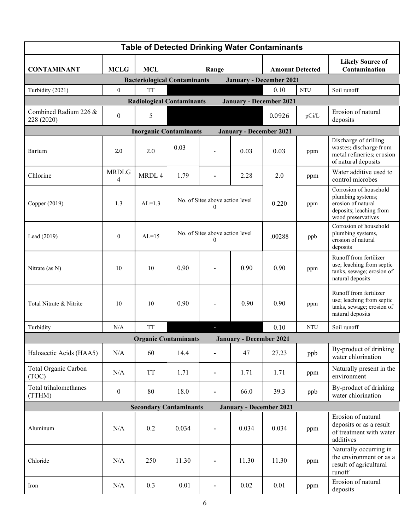| <b>Table of Detected Drinking Water Contaminants</b>                  |                                                                    |            |                                                     |                          |          |                        |            |                                                                                                                    |  |
|-----------------------------------------------------------------------|--------------------------------------------------------------------|------------|-----------------------------------------------------|--------------------------|----------|------------------------|------------|--------------------------------------------------------------------------------------------------------------------|--|
| <b>CONTAMINANT</b>                                                    | <b>MCLG</b>                                                        | <b>MCL</b> | Range                                               |                          |          | <b>Amount Detected</b> |            | <b>Likely Source of</b><br>Contamination                                                                           |  |
| <b>Bacteriological Contaminants</b><br><b>January - December 2021</b> |                                                                    |            |                                                     |                          |          |                        |            |                                                                                                                    |  |
| Turbidity (2021)                                                      | $\mathbf{0}$                                                       | <b>TT</b>  |                                                     |                          |          | 0.10                   | <b>NTU</b> | Soil runoff                                                                                                        |  |
|                                                                       | <b>Radiological Contaminants</b><br><b>January - December 2021</b> |            |                                                     |                          |          |                        |            |                                                                                                                    |  |
| Combined Radium 226 &<br>228 (2020)                                   | $\boldsymbol{0}$                                                   | 5          |                                                     |                          |          | 0.0926                 | pCi/L      | Erosion of natural<br>deposits                                                                                     |  |
| <b>Inorganic Contaminants</b><br><b>January - December 2021</b>       |                                                                    |            |                                                     |                          |          |                        |            |                                                                                                                    |  |
| <b>Barium</b>                                                         | 2.0                                                                | 2.0        | 0.03                                                |                          | 0.03     | 0.03                   | ppm        | Discharge of drilling<br>wastes; discharge from<br>metal refineries; erosion<br>of natural deposits                |  |
| Chlorine                                                              | <b>MRDLG</b><br>4                                                  | MRDL 4     | 1.79                                                |                          | 2.28     | 2.0                    | ppm        | Water additive used to<br>control microbes                                                                         |  |
| Copper (2019)                                                         | 1.3                                                                | $AL=1.3$   | No. of Sites above action level<br>0                |                          |          | 0.220                  | ppm        | Corrosion of household<br>plumbing systems;<br>erosion of natural<br>deposits; leaching from<br>wood preservatives |  |
| Lead (2019)                                                           | $\mathbf{0}$                                                       | $AL=15$    | No. of Sites above action level<br>$\boldsymbol{0}$ |                          |          | .00288                 | ppb        | Corrosion of household<br>plumbing systems,<br>erosion of natural<br>deposits                                      |  |
| Nitrate (as N)                                                        | 10                                                                 | 10         | 0.90                                                |                          | 0.90     | 0.90                   | ppm        | Runoff from fertilizer<br>use; leaching from septic<br>tanks, sewage; erosion of<br>natural deposits               |  |
| Total Nitrate & Nitrite                                               | 10                                                                 | 10         | 0.90                                                | $\overline{\phantom{0}}$ | 0.90     | 0.90                   | ppm        | Runoff from fertilizer<br>use; leaching from septic<br>tanks, sewage; erosion of<br>natural deposits               |  |
| Turbidity                                                             | N/A                                                                | <b>TT</b>  |                                                     |                          |          | 0.10                   | <b>NTU</b> | Soil runoff                                                                                                        |  |
| <b>Organic Contaminants</b><br><b>January - December 2021</b>         |                                                                    |            |                                                     |                          |          |                        |            |                                                                                                                    |  |
| Haloacetic Acids (HAA5)                                               | N/A                                                                | 60         | 14.4                                                |                          | 47       | 27.23                  | ppb        | By-product of drinking<br>water chlorination                                                                       |  |
| Total Organic Carbon<br>(TOC)                                         | N/A                                                                | <b>TT</b>  | 1.71                                                | -                        | 1.71     | 1.71                   | ppm        | Naturally present in the<br>environment                                                                            |  |
| Total trihalomethanes<br>(TTHM)                                       | $\boldsymbol{0}$                                                   | 80         | 18.0                                                | $\overline{\phantom{0}}$ | 66.0     | 39.3                   | ppb        | By-product of drinking<br>water chlorination                                                                       |  |
| <b>Secondary Contaminants</b><br><b>January - December 2021</b>       |                                                                    |            |                                                     |                          |          |                        |            |                                                                                                                    |  |
| Aluminum                                                              | N/A                                                                | 0.2        | 0.034                                               | $\overline{\phantom{0}}$ | 0.034    | 0.034                  | ppm        | Erosion of natural<br>deposits or as a result<br>of treatment with water<br>additives                              |  |
| Chloride                                                              | N/A                                                                | 250        | 11.30                                               | -                        | 11.30    | 11.30                  | ppm        | Naturally occurring in<br>the environment or as a<br>result of agricultural<br>runoff                              |  |
| Iron                                                                  | N/A                                                                | 0.3        | 0.01                                                |                          | $0.02\,$ | 0.01                   | ppm        | Erosion of natural<br>deposits                                                                                     |  |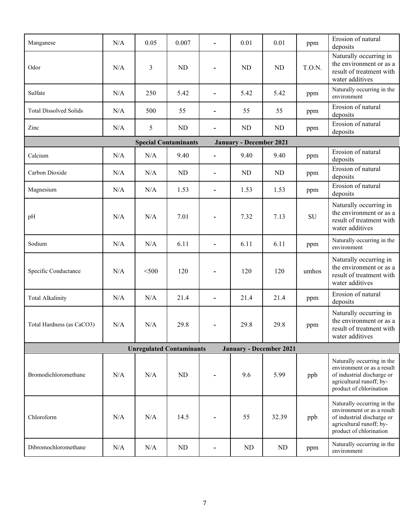| Manganese                                                         | N/A | 0.05           | 0.007                       |                          | 0.01                           | 0.01       | ppm    | Erosion of natural<br>deposits                                                                                                                |  |
|-------------------------------------------------------------------|-----|----------------|-----------------------------|--------------------------|--------------------------------|------------|--------|-----------------------------------------------------------------------------------------------------------------------------------------------|--|
| Odor                                                              | N/A | $\mathfrak{Z}$ | <b>ND</b>                   |                          | <b>ND</b>                      | <b>ND</b>  | T.O.N. | Naturally occurring in<br>the environment or as a<br>result of treatment with<br>water additives                                              |  |
| Sulfate                                                           | N/A | 250            | 5.42                        |                          | 5.42                           | 5.42       | ppm    | Naturally occurring in the<br>environment                                                                                                     |  |
| <b>Total Dissolved Solids</b>                                     | N/A | 500            | 55                          | $\overline{a}$           | 55                             | 55         | ppm    | Erosion of natural<br>deposits                                                                                                                |  |
| Zinc                                                              | N/A | 5              | ND                          | $\overline{a}$           | <b>ND</b>                      | ${\rm ND}$ | ppm    | Erosion of natural<br>deposits                                                                                                                |  |
|                                                                   |     |                | <b>Special Contaminants</b> |                          | <b>January - December 2021</b> |            |        |                                                                                                                                               |  |
| Calcium                                                           | N/A | N/A            | 9.40                        | $\overline{\phantom{a}}$ | 9.40                           | 9.40       | ppm    | Erosion of natural<br>deposits                                                                                                                |  |
| Carbon Dioxide                                                    | N/A | N/A            | ND                          | -                        | <b>ND</b>                      | ND         | ppm    | Erosion of natural<br>deposits                                                                                                                |  |
| Magnesium                                                         | N/A | N/A            | 1.53                        | $\overline{a}$           | 1.53                           | 1.53       | ppm    | Erosion of natural<br>deposits                                                                                                                |  |
| pH                                                                | N/A | N/A            | 7.01                        |                          | 7.32                           | 7.13       | SU     | Naturally occurring in<br>the environment or as a<br>result of treatment with<br>water additives                                              |  |
| Sodium                                                            | N/A | N/A            | 6.11                        |                          | 6.11                           | 6.11       | ppm    | Naturally occurring in the<br>environment                                                                                                     |  |
| Specific Conductance                                              | N/A | $<$ 500        | 120                         |                          | 120                            | 120        | umhos  | Naturally occurring in<br>the environment or as a<br>result of treatment with<br>water additives                                              |  |
| <b>Total Alkalinity</b>                                           | N/A | N/A            | 21.4                        |                          | 21.4                           | 21.4       | ppm    | Erosion of natural<br>deposits                                                                                                                |  |
| Total Hardness (as CaCO3)                                         | N/A | N/A            | 29.8                        |                          | 29.8                           | 29.8       | ppm    | Naturally occurring in<br>the environment or as a<br>result of treatment with<br>water additives                                              |  |
| <b>January - December 2021</b><br><b>Unregulated Contaminants</b> |     |                |                             |                          |                                |            |        |                                                                                                                                               |  |
| Bromodichloromethane                                              | N/A | N/A            | <b>ND</b>                   |                          | 9.6                            | 5.99       | ppb    | Naturally occurring in the<br>environment or as a result<br>of industrial discharge or<br>agricultural runoff; by-<br>product of chlorination |  |
| Chloroform                                                        | N/A | N/A            | 14.5                        |                          | 55                             | 32.39      | ppb    | Naturally occurring in the<br>environment or as a result<br>of industrial discharge or<br>agricultural runoff; by-<br>product of chlorination |  |
| Dibromochloromethane                                              | N/A | $\rm N/A$      | ND                          |                          | <b>ND</b>                      | <b>ND</b>  | ppm    | Naturally occurring in the<br>environment                                                                                                     |  |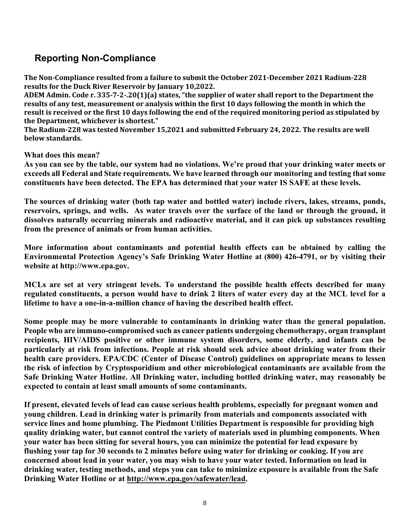# **Reporting Non-Compliance**

**The Non-Compliance resulted from a failure to submit the October 2021-December 2021 Radium-228 results for the Duck River Reservoir by January 10,2022.**

**ADEM Admin. Code r. 335-7-2-.20(1)(a) states, "the supplier of water shall report to the Department the results of any test, measurement or analysis within the first 10 days following the month in which the result is received or the first 10 days following the end of the required monitoring period as stipulated by the Department, whichever is shortest."**

**The Radium-228 was tested November 15,2021 and submitted February 24, 2022. The results are well below standards.** 

**What does this mean?** 

**As you can see by the table, our system had no violations. We're proud that your drinking water meets or exceeds all Federal and State requirements. We have learned through our monitoring and testing that some constituents have been detected. The EPA has determined that your water IS SAFE at these levels.**

**The sources of drinking water (both tap water and bottled water) include rivers, lakes, streams, ponds, reservoirs, springs, and wells. As water travels over the surface of the land or through the ground, it dissolves naturally occurring minerals and radioactive material, and it can pick up substances resulting from the presence of animals or from human activities.**

**More information about contaminants and potential health effects can be obtained by calling the Environmental Protection Agency's Safe Drinking Water Hotline at (800) 426-4791, or by visiting their website at http://www.epa.gov.** 

**MCLs are set at very stringent levels. To understand the possible health effects described for many regulated constituents, a person would have to drink 2 liters of water every day at the MCL level for a lifetime to have a one-in-a-million chance of having the described health effect.**

**Some people may be more vulnerable to contaminants in drinking water than the general population. People who are immuno-compromised such as cancer patients undergoing chemotherapy, organ transplant recipients, HIV/AIDS positive or other immune system disorders, some elderly, and infants can be particularly at risk from infections. People at risk should seek advice about drinking water from their health care providers. EPA/CDC (Center of Disease Control) guidelines on appropriate means to lessen the risk of infection by Cryptosporidium and other microbiological contaminants are available from the Safe Drinking Water Hotline. All Drinking water, including bottled drinking water, may reasonably be expected to contain at least small amounts of some contaminants.** 

**If present, elevated levels of lead can cause serious health problems, especially for pregnant women and young children. Lead in drinking water is primarily from materials and components associated with service lines and home plumbing. The Piedmont Utilities Department is responsible for providing high quality drinking water, but cannot control the variety of materials used in plumbing components. When your water has been sitting for several hours, you can minimize the potential for lead exposure by flushing your tap for 30 seconds to 2 minutes before using water for drinking or cooking. If you are concerned about lead in your water, you may wish to have your water tested. Information on lead in drinking water, testing methods, and steps you can take to minimize exposure is available from the Safe Drinking Water Hotline or at [http://www.epa.gov/safewater/lead.](http://www.epa.gov/safewater/lead)**